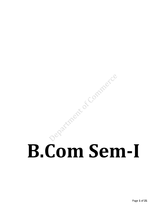# B.Com Sem-I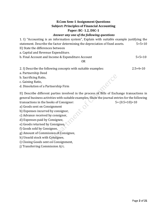### **B.Com Sem-1 Assignment Questions Subject: Principles of Financial Accounting Paper: BC- 1.2, DSC-1**

### *Answer any one of the following questions*

1. I) "Accounting is an information system", Explain with suitable example justifying the statement. Describe the factor determining the depreciation of fixed assets.  $5+5=10$ 

II) State the differences between

a. Capital and Revenue Expenditure.

b. Final Account and Income & Expenditure Account 5+5=10

### OR

2. I) Describe the following concepts with suitable examples:  $2.5 \times 4=10$ 

a. Partnership Deed

b. Sacrificing Ratio,

c. Gaining Ratio,

d. Dissolution of a Partnership Firm

II) Describe different parties involved in the process of Bills of Exchange transactions in general business activities with suitable examples. Show the journal entries for the following transactions in the books of Consignor:  $5+(0.5\times10)=10$ 

a) Goods sent on Consignment

b) Expenses incurred by consignor,

c) Advance received by consignor,

d) Expenses paid by Consignee,

e) Goods returned by Consignee,

f) Goods sold by Consignee,

g) Amount of Commission of Consignee,

h) Unsold stock with Consignee,

i) Closing Goods sent on Consignment,

j) Transferring Commission A/c.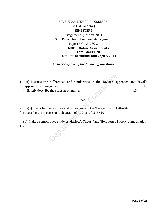### BIR BIKRAM MEMORIAL COLLEGE. B.COM (General) SEMESTER-I Assignment Question-2021 Sub: Principles of Business Management Paper: B.C-1.3 DSC-2 **MODE: Online Assignments Total Marks: 20 Last Date of Submission: 23/07/2021**

### *Answer any one of the following questions*

- 1. (i) Discuss the differences and similarities in the Taylor's approach and Fayol's approach in management. 10
- (ii) ) Briefly describe the steps in planning. 10

### OR  $\bigcap$

- 2. (i)(a) Describe the features and Importance of the 'Delegation of Authority'.
- (b) Describe the process of 'Delegation of Authority'. 5+5=10

 (ii) Make a comparative study of 'Maslow's Theory' and 'Herzberg's Theory' of motivation. 10.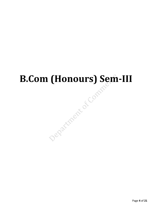### **B.Com (Honours) Sem-III** Department of Compte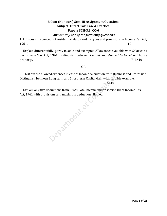### **B.Com (Honours) Sem-III Assignment Questions Subject: Direct Tax: Law & Practice Paper: BCH-3.3, CC-6**

### *Answer any one of the following questions*

1. I. Discuss the concept of residential status and its types and provisions in Income Tax Act,  $1961.$  10

II. Explain different fully, partly taxable and exempted Allowances available with Salaries as per Income Tax Act, 1961. Distinguish between *Let out* and *deemed to be let out* house property. 7+3=10

### **OR**

2. I. List out the allowed expenses in case of Income calculation from Business and Profession. Distinguish between Long term and Short term Capital Gain with suitable example.

 $5+5=10$ 

Act, 1961 with provisions and maximum deduction allowed.

II. Explain any five deductions from Gross Total Income under section 80 of Income Tax<br>Act, 1961 with provisions and maximum deduction allowed.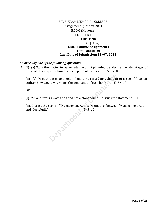### BIR BIKRAM MEMORIAL COLLEGE. Assignment Question-2021 B.COM (Honours) SEMESTER-III **AUDITING BCH-3.2 [CC-5] MODE: Online Assignments Total Marks: 20 Last Date of Submission: 23/07/2021**

### *Answer any one of the following questions*

1. (i) (a) State the matter to be included in audit planning(b) Discuss the advantages of internal check system from the view point of business.  $5+5=10$ 

(ii) (a) Discuss duties and role of auditors, regarding valuation of assets. (b) As an auditor how would you vouch the credit side of cash book?  $5+5=10$ .

OR

2. (i). "An auditor is a watch dog and not a bloodhound"- discuss the statement. 10

(ii). Discuss the scope of 'Management Audit'. Distinguish between 'Management Audit' and 'Cost Audit'.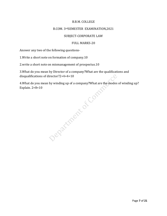### B.B.M. COLLEGE

### B.COM. 3rdSEMESTER EXAMINATION, 2021

### SUBJECT-CORPORATE LAW

### FULL MARKS-20

Answer any two of the following questions-

1.Write a short note on formation of company.10

2.write a short note on mismanagement of prospectus.10

3.What do you mean by Director of a company?What are the qualifications and disqualifications of director?2+4+4=10

Explain. 2+8=10

4.What do you mean by winding up of a company?What are the modes of winding up?<br>Explain. 2+8=10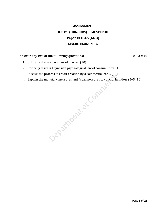### **ASSIGNMENT B.COM. (HONOURS) SEMESTER-III Paper-BCH 3.5 (GE-3) MACRO ECONOMICS**

### Answer any two of the following questions:  $10 \times 2 = 20$

- 1. Critically discuss Say's law of market. (10)
- 2. Critically discuss Keynesian psychological law of consumption. (10)
- 
- 4. Explain the monetary measures and fiscal measures to control inflation. (5+5=10)

3. Discuss the process of credit creation by a commertial bank. (10)<br>4. Explain the monetary measures and fiscal measures to control information of the control information of the control information of the control informa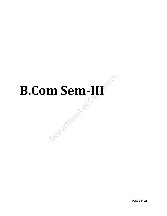### **B.Com Sem-III** Pepartment of Co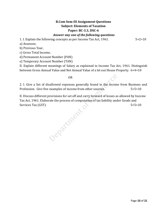### **B.Com Sem-III Assignment Questions Subject: Elements of Taxation Paper: BC-3.3, DSC-6** *Answer any one of the following questions*

1. I. Explain the following concepts as per Income Tax Act, 1961.  $5 \times 2 = 10$ 

a) Assessee,

b) Previous Year,

c) Gross Total Income,

d) Permanent Account Number (PAN)

e) Temporary Account Number (TAN)

II. Explain different meanings of Salary as explained in Income Tax Act, 1961. Distinguish between Gross Annual Value and Net Annual Value of a let out House Property. 6+4=10

OR

2. I. Give a list of disallowed expenses generally found in the income from Business and Profession. Give five examples of income from other sources. 5+5=10

II. Discuss different provisions for set off and carry forward of losses as allowed by Income Tax Act, 1961. Elaborate the process of computation of tax liability under Goods and Services Tax (GST). 5+5=10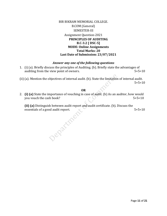### BIR BIKRAM MEMORIAL COLLEGE. B.COM (General) SEMESTER-III Assignment Question-2021 **PRINCIPLES OF AUDITING B.C-3.2 [ DSC-5] MODE: Online Assignments Total Marks: 20 Last Date of Submission: 23/07/2021**

### *Answer any one of the following questions*

- 1. (i) (a). Briefly discuss the principles of Auditing. (b). Briefly state the advantages of auditing from the view point of owners.  $5+5=10$
- (ii) (a). Mention the objectives of internal audit. (b). State the limitation of internal audit.  $5+5=10$

### **OR**

2. **(i) (a)** State the importance of vouching in case of audit. (b) As an auditor, how would you vouch the cash book?  $5+5=10$ 

**(ii) (a)** Distinguish between audit report and audit certificate. (b). Discuss the essentials of a good audit report.  $5+5=10$ Department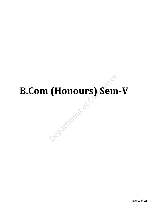## **B.Com (Honours) Sem-V**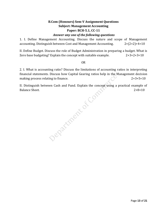### **B.Com (Honours) Sem-V Assignment Questions Subject: Management Accounting Paper: BCH-5.1, CC-11**

### *Answer any one of the following questions*

1. I. Define Management Accounting. Discuss the nature and scope of Management accounting. Distinguish between Cost and Management Accounting. 2+(2+2)+4=10

II. Define Budget. Discuss the role of Budget Administration in preparing a budget. What is Zero base budgeting? Explain the concept with suitable example. 2+3+2+3=10

OR

2. I. What is accounting ratio? Discuss the limitations of accounting ratios in interpreting financial statements. Discuss how Capital Gearing ratios help in the Management decision making process relating to finance. 2+3+5=10

II. Distinguish between Cash and Fund. Explain the concept using a practical example of Balance Sheet.<br>  $\begin{bmatrix}\n\cdot & \cdot & \cdot & \cdot & \cdot & \cdot \\
\cdot & \cdot & \cdot & \cdot & \cdot & \cdot \\
\cdot & \cdot & \cdot & \cdot & \cdot & \cdot \\
\cdot & \cdot & \cdot & \cdot & \cdot & \cdot \\
\cdot & \cdot & \cdot & \cdot & \cdot & \cdot\n\end{bmatrix}$ <br>
Balance Sheet.<br>  $\begin{bmatrix}\n\cdot & \cdot & \cdot & \cdot & \cdot & \cdot \\
\cdot & \cdot & \cdot & \cdot & \cdot & \cdot \\
\cdot & \cdot & \cdot & \cdot & \cdot & \cdot \\
\cdot & \cdot & \cdot & \cdot & \cdot & \cdot\n\end$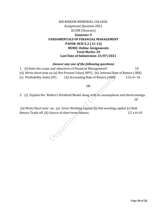### BIR BIKRAM MEMORIAL COLLEGE. Assignment Question-2021 B.COM (Honours) **Semester-V FANDAMENTALS OF FINANCIAL MANAGEMENT PAPER: BCH-5.2 [ CC-12] MODE: Online Assignments Total Marks: 20 Last Date of Submission: 23/07/2021**

### *Answer any one of the following questions*

1. (i) State the scope and objectives of Financial Management? 10 (ii). Write short note on (a) Net Present Value( NPV). (b). Internal Rate of Return ( IRR) (c) Profitability Index (PI) (d) Accounting Rate of Return  $(ARR)$  2.5x 4= 10

### OR

2. (i) Explain the Walter's Dividend Model along with its assumptions and shortcomings. 10

(ii) Write Short note on : (a) Gross Working Capital (b) Net working capital (c) Risk Return Trade off. (d) Source of short term finance. 2.5 x 4=10

Departme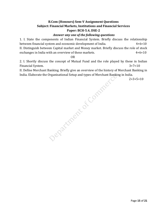### **B.Com (Honours) Sem-V Assignment Questions Subject: Financial Markets, Institutions and Financial Services Paper: BCH-5.4, DSE-2**

### *Answer any one of the following questions*

1. I. State the components of Indian Financial System. Briefly discuss the relationship between financial system and economic development of India. 4+6=10 II. Distinguish between Capital market and Money market. Briefly discuss the role of stock

exchanges in India with an overview of these markets.  $4+6=10$ 

OR

2. I. Shortly discuss the concept of Mutual Fund and the role played by these in Indian Financial System. 3+7=10

II. Define Merchant Banking. Briefly give an overview of the history of Merchant Banking in India. Elaborate the Organisational Setup and types of Merchant Banking in India.

2+3+5=10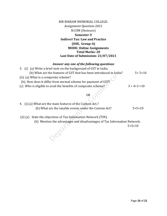| BIR BIKRAM MEMORIAL COLLEGE.          |
|---------------------------------------|
| <b>Assignment Question-2021</b>       |
| <b>B.COM</b> (Honours)                |
| Semester-V                            |
| <b>Indirect Tax: Law and Practice</b> |
| (DSE, Group-A)                        |
| <b>MODE: Online Assignments</b>       |
| <b>Total Marks: 20</b>                |
| Last Date of Submission: 23/07/2021   |

### *Answer any one of the following questions*

| 3. (i) (a) Write a brief note on the background of GST in India.    |                  |
|---------------------------------------------------------------------|------------------|
| (b) What are the features of GST that has been introduced in India? | $5 + 5 = 10$     |
| (ii). (a) What is a composite scheme?                               |                  |
| (b). How does it differ from normal scheme for payment of GST?      |                  |
| (c) Who is eligible to avail the benefits of composite scheme?      | $3 + 4 + 3 = 10$ |

### OR OPEN

| 4. (i) (a) What are the main features of the Custom Act.? |              |
|-----------------------------------------------------------|--------------|
| (b) What are the taxable events under the Custom Act?     | $5 + 5 = 10$ |

(ii) (a) State the objectives of Tax Information Network (TIN). (b) Mention the advantages and disadvantages of Tax Information Network. 5+5=10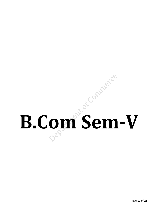## **B.Com Sem-V**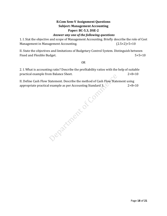### **B.Com Sem-V Assignment Questions Subject: Management Accounting Paper: BC-5.3, DSE-2**

### *Answer any one of the following questions*

1. I. Stat the objective and scope of Management Accounting. Briefly describe the role of Cost Management in Management Accounting. (2.5×2)+5=10

II. State the objectives and limitations of Budgetary Control System. Distinguish between Fixed and Flexible Budget. 5+5=10

### OR

2. I. What is accounting ratio? Describe the profitability ratios with the help of suitable practical example from Balance Sheet. 2+8=10

II. Define Cash Flow Statement. Describe the method of Cash Flow Statement using<br>appropriate practical example as per Accounting Standard 3.<br>2+8=<br>2000<br>2000<br>2000 appropriate practical example as per Accounting Standard 3.  $\sim$  2+8=10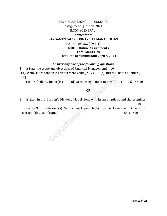### BIR BIKRAM MEMORIAL COLLEGE. Assignment Question-2021 B.COM (GENERAL) **Semester-V FANDAMENTALS OF FINANCIAL MANAGEMENT PAPER: BC-5.2 [ DSE-1] MODE: Online Assignments Total Marks: 20 Last Date of Submission: 23/07/2021**

### *Answer any one of the following questions*

1. (i) State the scope and objectives of Financial Management? 10 (ii). Write short note on (a) Net Present Value( NPV). (b). Internal Rate of Return (

IRR)

(c) Profitability Index (PI) (d) Accounting Rate of Return (ARR) 2.5 x 4= 10

OR

2. (i) Explain the Gordon's Dividend Model along with its assumptions and shortcomings. 10

(ii) Write Short note on : (a) Net Income Approach (b) Financial Leverage (c) Operating

Leverage (d) Cost of capital 2.5 x 4=10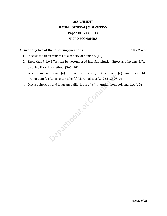### **ASSIGNMENT B.COM. (GENERAL) SEMESTER-V Paper-BC 5.4 (GE-1) MICRO ECONOMICS**

### Answer any two of the following questions: 10 × 2 = 20

- 1. Discuss the determinants of elasticity of demand. (10)
- 2. Show that Price Effect can be decomposed into Substitution Effect and Income Effect by using Hicksian method. (5+5=10)
- 3. Write short notes on: (a) Production function; (b) Isoquant; (c) Law of variable
- 4. Discuss shortrun and longrunequilibrioum of a firm under monopoly market. (10)

proportion; (d) Returns to scale; (e) Marginal cost (2+2+2+2+2=10)<br>Discuss shortrun and longrune<br>quilibrioum of a firm under monopoly